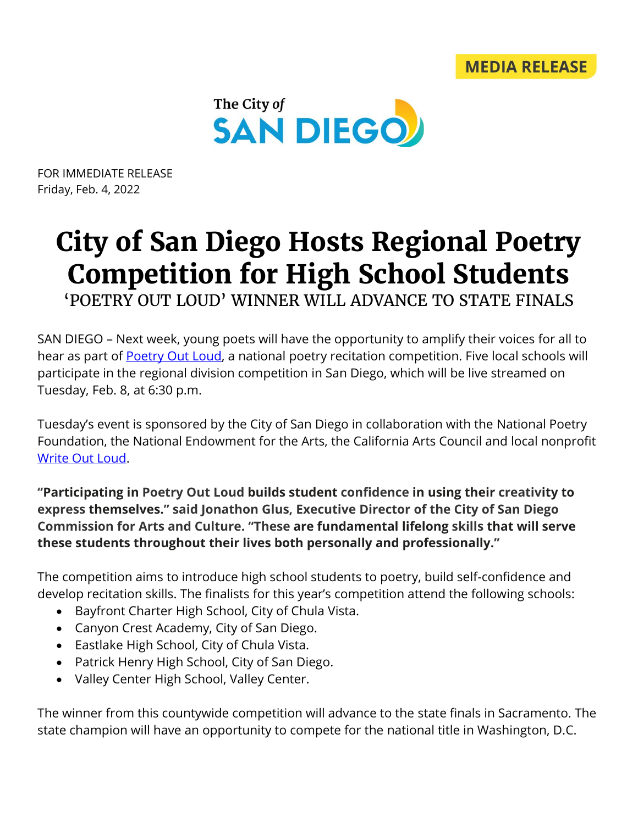

FOR IMMEDIATE RELEASE Friday, Feb. 4, 2022

## **City of San Diego Hosts Regional Poetry Competition for High School Students** 'POETRY OUT LOUD' WINNER WILL ADVANCE TO STATE FINALS

SAN DIEGO – Next week, young poets will have the opportunity to amplify their voices for all to hear as part of [Poetry Out Loud,](https://www.poetryoutloud.org/) a national poetry recitation competition. Five local schools will participate in the regional division competition in San Diego, which will be live streamed on

Tuesday, Feb. 8, at 6:30 p.m.

Tuesday's event is sponsored by the City of San Diego in collaboration with the National Poetry Foundation, the National Endowment for the Arts, the California Arts Council and local nonprofit [Write Out Loud.](http://writeoutloudsd.com/)

**"Participating in Poetry Out Loud builds student confidence in using their creativity to express themselves." said Jonathon Glus, Executive Director of the City of San Diego Commission for Arts and Culture. "These are fundamental lifelong skills that will serve these students throughout their lives both personally and professionally."**

The competition aims to introduce high school students to poetry, build self-confidence and develop recitation skills. The finalists for this year's competition attend the following schools:

- Bayfront Charter High School, City of Chula Vista.
- Canyon Crest Academy, City of San Diego.
- Eastlake High School, City of Chula Vista.
- Patrick Henry High School, City of San Diego.
- Valley Center High School, Valley Center.

The winner from this countywide competition will advance to the state finals in Sacramento. The state champion will have an opportunity to compete for the national title in Washington, D.C.